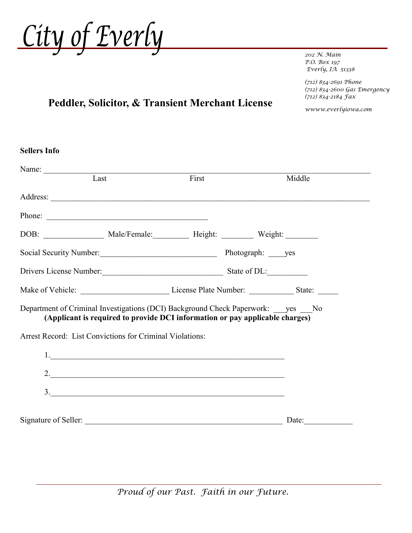

*202 N. Main P.O. Box 197 Everly, IA 51338*

*(712) 834-2691 Phone (712) 834-2600 Gas Emergency (712) 834-2184 Fax*

*wwww.everlyiowa.com*

## **Peddler, Solicitor, & Transient Merchant License**

| <b>Sellers Info</b>                                                            |                                                                              |        |
|--------------------------------------------------------------------------------|------------------------------------------------------------------------------|--------|
| Last                                                                           | First                                                                        | Middle |
|                                                                                |                                                                              |        |
| Phone:                                                                         |                                                                              |        |
|                                                                                |                                                                              |        |
|                                                                                |                                                                              |        |
| Drivers License Number: State of DL:                                           |                                                                              |        |
|                                                                                |                                                                              |        |
| Department of Criminal Investigations (DCI) Background Check Paperwork: yes No | (Applicant is required to provide DCI information or pay applicable charges) |        |
| Arrest Record: List Convictions for Criminal Violations:                       |                                                                              |        |
|                                                                                | 1.                                                                           |        |
|                                                                                |                                                                              |        |
|                                                                                | 3.                                                                           |        |
|                                                                                |                                                                              |        |
|                                                                                |                                                                              | Date:  |